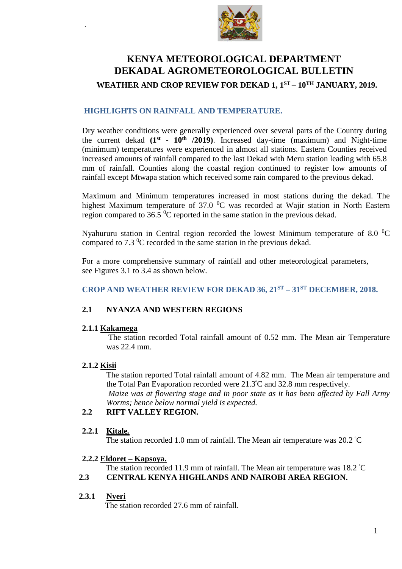

# **KENYA METEOROLOGICAL DEPARTMENT DEKADAL AGROMETEOROLOGICAL BULLETIN**

# **WEATHER AND CROP REVIEW FOR DEKAD 1, 1 ST – 10 TH JANUARY, 2019.**

### **HIGHLIGHTS ON RAINFALL AND TEMPERATURE.**

Dry weather conditions were generally experienced over several parts of the Country during the current dekad **(1st - 10th /2019)**. Increased day-time (maximum) and Night-time (minimum) temperatures were experienced in almost all stations. Eastern Counties received increased amounts of rainfall compared to the last Dekad with Meru station leading with 65.8 mm of rainfall. Counties along the coastal region continued to register low amounts of rainfall except Mtwapa station which received some rain compared to the previous dekad.

Maximum and Minimum temperatures increased in most stations during the dekad. The highest Maximum temperature of 37.0  $\rm{^0C}$  was recorded at Wajir station in North Eastern region compared to 36.5  $\mathrm{^{0}C}$  reported in the same station in the previous dekad.

Nyahururu station in Central region recorded the lowest Minimum temperature of 8.0  $^{0}$ C compared to  $7.3 \text{ }^0C$  recorded in the same station in the previous dekad.

For a more comprehensive summary of rainfall and other meteorological parameters, see Figures 3.1 to 3.4 as shown below.

### **CROP AND WEATHER REVIEW FOR DEKAD 36, 21 ST – 31ST DECEMBER, 2018.**

### **2.1 NYANZA AND WESTERN REGIONS**

#### **2.1.1 Kakamega**

The station recorded Total rainfall amount of 0.52 mm. The Mean air Temperature was 22.4 mm.

#### **2.1.2 Kisii**

`

The station reported Total rainfall amount of 4.82 mm. The Mean air temperature and the Total Pan Evaporation recorded were 21.3°C and 32.8 mm respectively. *Maize was at flowering stage and in poor state as it has been affected by Fall Army Worms; hence below normal yield is expected.* 

### **2.2 RIFT VALLEY REGION.**

#### **2.2.1 Kitale***.*

The station recorded 1.0 mm of rainfall. The Mean air temperature was  $20.2 \degree C$ 

#### **2.2.2 Eldoret – Kapsoya.**

The station recorded 11.9 mm of rainfall. The Mean air temperature was 18.2 °C

### **2.3 CENTRAL KENYA HIGHLANDS AND NAIROBI AREA REGION.**

### **2.3.1 Nyeri**

The station recorded 27.6 mm of rainfall.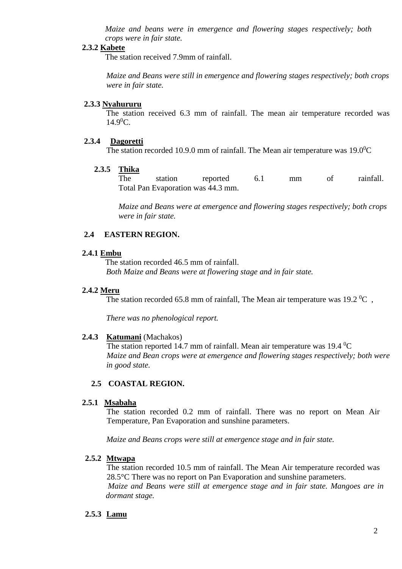*Maize and beans were in emergence and flowering stages respectively; both crops were in fair state.*

#### **2.3.2 Kabete**

The station received 7.9mm of rainfall.

*Maize and Beans were still in emergence and flowering stages respectively; both crops were in fair state.*

#### **2.3.3 Nyahururu**

The station received 6.3 mm of rainfall. The mean air temperature recorded was  $14.9^{\circ}$ C.

#### **2.3.4 Dagoretti**

The station recorded 10.9.0 mm of rainfall. The Mean air temperature was  $19.0^{\circ}$ C

#### **2.3.5 Thika**

The station reported 6.1 mm of rainfall. Total Pan Evaporation was 44.3 mm.

*Maize and Beans were at emergence and flowering stages respectively; both crops were in fair state.*

#### **2.4 EASTERN REGION.**

#### **2.4.1 Embu**

The station recorded 46.5 mm of rainfall. *Both Maize and Beans were at flowering stage and in fair state.*

#### **2.4.2 Meru**

The station recorded 65.8 mm of rainfall, The Mean air temperature was 19.2  $^0C$ ,

*There was no phenological report.*

#### **2.4.3 Katumani** (Machakos)

The station reported 14.7 mm of rainfall. Mean air temperature was 19.4  $^0C$ *Maize and Bean crops were at emergence and flowering stages respectively; both were in good state.*

#### **2.5 COASTAL REGION.**

#### **2.5.1 Msabaha**

The station recorded 0.2 mm of rainfall. There was no report on Mean Air Temperature, Pan Evaporation and sunshine parameters.

*Maize and Beans crops were still at emergence stage and in fair state.*

#### **2.5.2 Mtwapa**

The station recorded 10.5 mm of rainfall. The Mean Air temperature recorded was 28.5°C There was no report on Pan Evaporation and sunshine parameters. *Maize and Beans were still at emergence stage and in fair state. Mangoes are in dormant stage.*

#### **2.5.3 Lamu**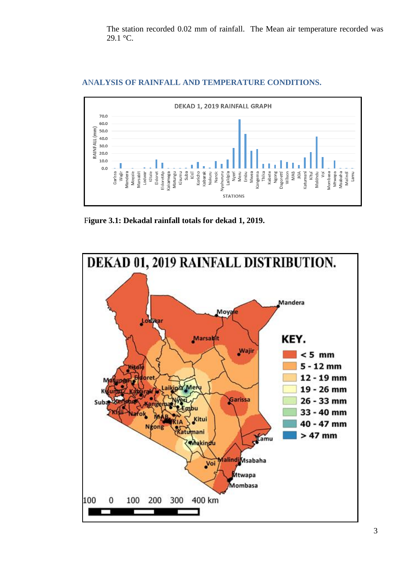The station recorded 0.02 mm of rainfall. The Mean air temperature recorded was 29.1 °C.



## ANALYSIS OF RAINFALL AND TEMPERATURE CONDITIONS.

Figure 3.1: Dekadal rainfall totals for dekad 1, 2019.

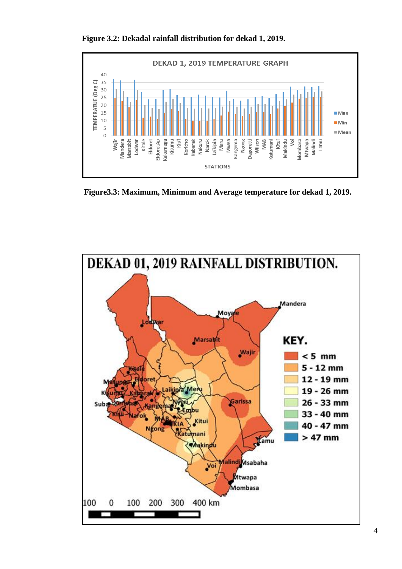

**Figure 3.2: Dekadal rainfall distribution for dekad 1, 2019.**

**Figure3.3: Maximum, Minimum and Average temperature for dekad 1, 2019.**

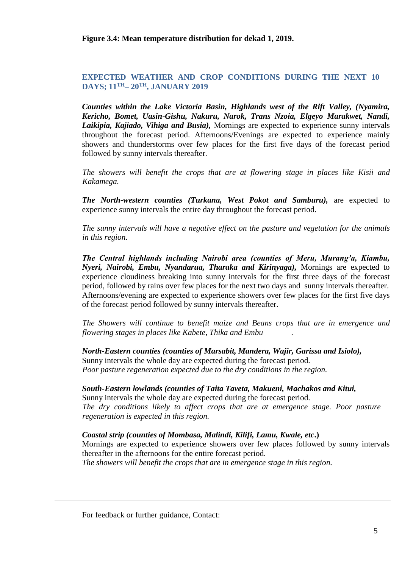**Figure 3.4: Mean temperature distribution for dekad 1, 2019.**

### **EXPECTED WEATHER AND CROP CONDITIONS DURING THE NEXT 10 DAYS; 11 TH– 20 TH, JANUARY 2019**

*Counties within the Lake Victoria Basin, Highlands west of the Rift Valley, (Nyamira, Kericho, Bomet, Uasin-Gishu, Nakuru, Narok, Trans Nzoia, Elgeyo Marakwet, Nandi, Laikipia, Kajiado, Vihiga and Busia),* Mornings are expected to experience sunny intervals throughout the forecast period. Afternoons/Evenings are expected to experience mainly showers and thunderstorms over few places for the first five days of the forecast period followed by sunny intervals thereafter.

*The showers will benefit the crops that are at flowering stage in places like Kisii and Kakamega.* 

*The North-western counties (Turkana, West Pokot and Samburu),* are expected to experience sunny intervals the entire day throughout the forecast period.

*The sunny intervals will have a negative effect on the pasture and vegetation for the animals in this region.*

*The Central highlands including Nairobi area (counties of Meru, Murang'a, Kiambu, Nyeri, Nairobi, Embu, Nyandarua, Tharaka and Kirinyaga),* Mornings are expected to experience cloudiness breaking into sunny intervals for the first three days of the forecast period, followed by rains over few places for the next two days and sunny intervals thereafter. Afternoons/evening are expected to experience showers over few places for the first five days of the forecast period followed by sunny intervals thereafter.

*The Showers will continue to benefit maize and Beans crops that are in emergence and flowering stages in places like Kabete, Thika and Embu .*

*North-Eastern counties (counties of Marsabit, Mandera, Wajir, Garissa and Isiolo),* Sunny intervals the whole day are expected during the forecast period. *Poor pasture regeneration expected due to the dry conditions in the region.* 

# *South-Eastern lowlands (counties of Taita Taveta, Makueni, Machakos and Kitui,*

Sunny intervals the whole day are expected during the forecast period. *The dry conditions likely to affect crops that are at emergence stage. Poor pasture regeneration is expected in this region.* 

### *Coastal strip (counties of Mombasa, Malindi, Kilifi, Lamu, Kwale, etc***.)**

Mornings are expected to experience showers over few places followed by sunny intervals thereafter in the afternoons for the entire forecast period.

*The showers will benefit the crops that are in emergence stage in this region.*